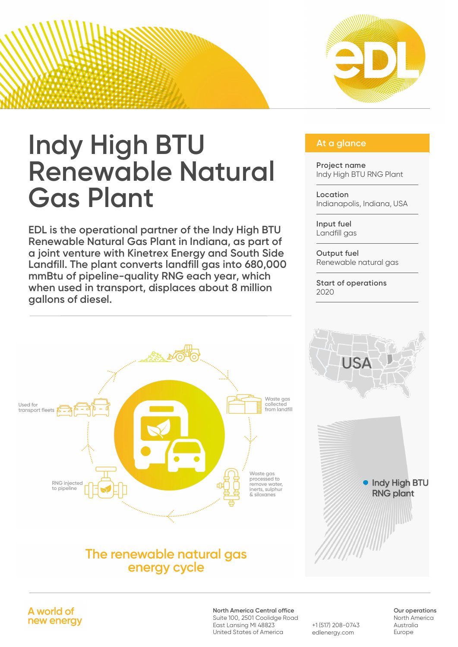

# **At a glance Indy High BTU At a glance Renewable Natural Gas Plant**

**EDL is the operational partner of the Indy High BTU Renewable Natural Gas Plant in Indiana, as part of a joint venture with Kinetrex Energy and South Side Landfill. The plant converts landfill gas into 680,000 mmBtu of pipeline-quality RNG each year, which when used in transport, displaces about 8 million gallons of diesel.**

# Waste gas I lead for collected from landfill transport fleets  $\sum$ Waste gas processed to RNG injected .<br>remove water. to pipeline nerts, sulphur & siloxanes

# The renewable natural gas enerav cycle

**Project name** Indy High BTU RNG Plant

**Location** Indianapolis, Indiana, USA

**Input fuel** Landfill aas

**Output fuel** Renewable natural gas

**Start of operations** 2020



A world of new energy

**North America Central office**

Suite 100, 2501 Coolidge Road East Lansing MI 48823 United States of America

+1 (517) 208-0743 edlenergy.com

**Our operations** North America Australia Europe